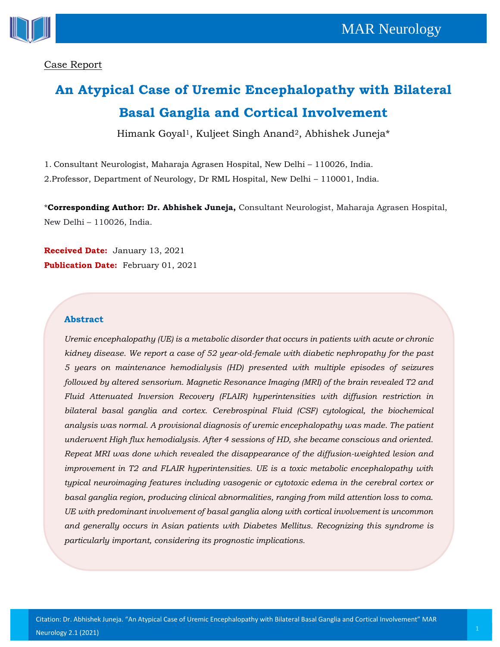



### Case Report

# **An Atypical Case of Uremic Encephalopathy with Bilateral Basal Ganglia and Cortical Involvement**

Himank Goyal1, Kuljeet Singh Anand2, Abhishek Juneja\*

1. Consultant Neurologist, Maharaja Agrasen Hospital, New Delhi – 110026, India.

2.Professor, Department of Neurology, Dr RML Hospital, New Delhi – 110001, India.

\***Corresponding Author: Dr. Abhishek Juneja,** Consultant Neurologist, Maharaja Agrasen Hospital, New Delhi – 110026, India.

**Received Date:** January 13, 2021 **Publication Date:** February 01, 2021

#### **Abstract**

*Uremic encephalopathy (UE) is a metabolic disorder that occurs in patients with acute or chronic kidney disease. We report a case of 52 year-old-female with diabetic nephropathy for the past 5 years on maintenance hemodialysis (HD) presented with multiple episodes of seizures followed by altered sensorium. Magnetic Resonance Imaging (MRI) of the brain revealed T2 and Fluid Attenuated Inversion Recovery (FLAIR) hyperintensities with diffusion restriction in bilateral basal ganglia and cortex. Cerebrospinal Fluid (CSF) cytological, the biochemical analysis was normal. A provisional diagnosis of uremic encephalopathy was made. The patient underwent High flux hemodialysis. After 4 sessions of HD, she became conscious and oriented. Repeat MRI was done which revealed the disappearance of the diffusion-weighted lesion and improvement in T2 and FLAIR hyperintensities. UE is a toxic metabolic encephalopathy with typical neuroimaging features including vasogenic or cytotoxic edema in the cerebral cortex or basal ganglia region, producing clinical abnormalities, ranging from mild attention loss to coma. UE with predominant involvement of basal ganglia along with cortical involvement is uncommon and generally occurs in Asian patients with Diabetes Mellitus. Recognizing this syndrome is particularly important, considering its prognostic implications.*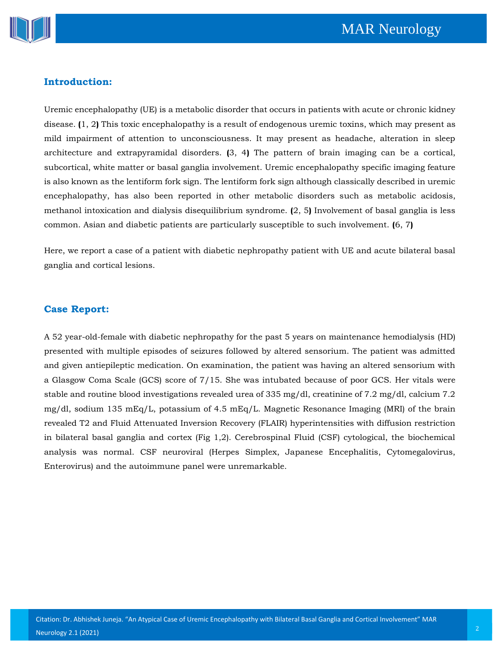

#### **Introduction:**

Uremic encephalopathy (UE) is a metabolic disorder that occurs in patients with acute or chronic kidney disease. **(**1, 2**)** This toxic encephalopathy is a result of endogenous uremic toxins, which may present as mild impairment of attention to unconsciousness. It may present as headache, alteration in sleep architecture and extrapyramidal disorders. **(**3, 4**)** The pattern of brain imaging can be a cortical, subcortical, white matter or basal ganglia involvement. Uremic encephalopathy specific imaging feature is also known as the lentiform fork sign. The lentiform fork sign although classically described in uremic encephalopathy, has also been reported in other metabolic disorders such as metabolic acidosis, methanol intoxication and dialysis disequilibrium syndrome. **(**2, 5**)** Involvement of basal ganglia is less common. Asian and diabetic patients are particularly susceptible to such involvement. **(**6, 7**)**

Here, we report a case of a patient with diabetic nephropathy patient with UE and acute bilateral basal ganglia and cortical lesions.

#### **Case Report:**

A 52 year-old-female with diabetic nephropathy for the past 5 years on maintenance hemodialysis (HD) presented with multiple episodes of seizures followed by altered sensorium. The patient was admitted and given antiepileptic medication. On examination, the patient was having an altered sensorium with a Glasgow Coma Scale (GCS) score of 7/15. She was intubated because of poor GCS. Her vitals were stable and routine blood investigations revealed urea of 335 mg/dl, creatinine of 7.2 mg/dl, calcium 7.2 mg/dl, sodium 135 mEq/L, potassium of 4.5 mEq/L. Magnetic Resonance Imaging (MRI) of the brain revealed T2 and Fluid Attenuated Inversion Recovery (FLAIR) hyperintensities with diffusion restriction in bilateral basal ganglia and cortex (Fig 1,2). Cerebrospinal Fluid (CSF) cytological, the biochemical analysis was normal. CSF neuroviral (Herpes Simplex, Japanese Encephalitis, Cytomegalovirus, Enterovirus) and the autoimmune panel were unremarkable.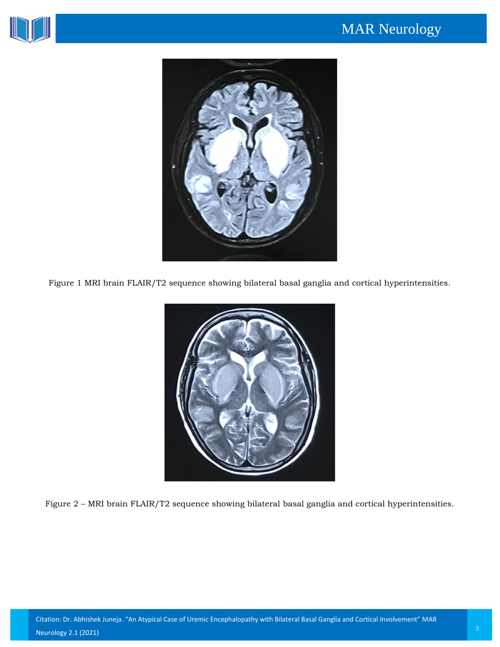



Figure 1 MRI brain FLAIR/T2 sequence showing bilateral basal ganglia and cortical hyperintensities.



Figure 2 – MRI brain FLAIR/T2 sequence showing bilateral basal ganglia and cortical hyperintensities.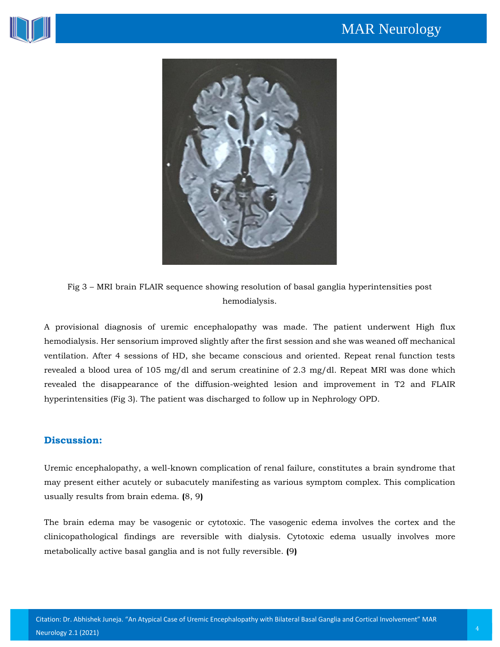



Fig 3 – MRI brain FLAIR sequence showing resolution of basal ganglia hyperintensities post hemodialysis.

A provisional diagnosis of uremic encephalopathy was made. The patient underwent High flux hemodialysis. Her sensorium improved slightly after the first session and she was weaned off mechanical ventilation. After 4 sessions of HD, she became conscious and oriented. Repeat renal function tests revealed a blood urea of 105 mg/dl and serum creatinine of 2.3 mg/dl. Repeat MRI was done which revealed the disappearance of the diffusion-weighted lesion and improvement in T2 and FLAIR hyperintensities (Fig 3). The patient was discharged to follow up in Nephrology OPD.

#### **Discussion:**

Uremic encephalopathy, a well-known complication of renal failure, constitutes a brain syndrome that may present either acutely or subacutely manifesting as various symptom complex. This complication usually results from brain edema. **(**8, 9**)**

The brain edema may be vasogenic or cytotoxic. The vasogenic edema involves the cortex and the clinicopathological findings are reversible with dialysis. Cytotoxic edema usually involves more metabolically active basal ganglia and is not fully reversible. **(**9**)**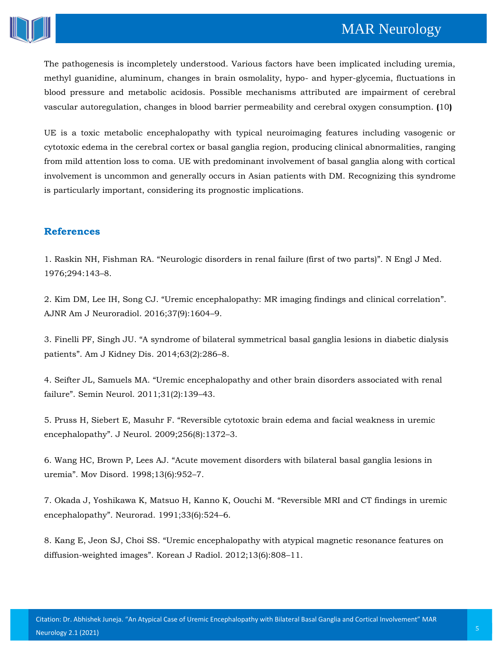## MAR Neurology



The pathogenesis is incompletely understood. Various factors have been implicated including uremia, methyl guanidine, aluminum, changes in brain osmolality, hypo- and hyper-glycemia, fluctuations in blood pressure and metabolic acidosis. Possible mechanisms attributed are impairment of cerebral vascular autoregulation, changes in blood barrier permeability and cerebral oxygen consumption. **(**10**)**

UE is a toxic metabolic encephalopathy with typical neuroimaging features including vasogenic or cytotoxic edema in the cerebral cortex or basal ganglia region, producing clinical abnormalities, ranging from mild attention loss to coma. UE with predominant involvement of basal ganglia along with cortical involvement is uncommon and generally occurs in Asian patients with DM. Recognizing this syndrome is particularly important, considering its prognostic implications.

#### **References**

1. Raskin NH, Fishman RA. "[Neurologic disorders in renal failure \(first of two parts\)](https://www.google.com/search?sxsrf=ALeKk01S8bvrgTnWDhoYF7hj3U9PZlTc7g%3A1610780311751&ei=l44CYMagLbeR4-EPybGLyAg&q=Neurologic+disorders+in+renal+failure+%28first+of+two+parts%29&oq=Neurologic+disorders+in+renal+failure+%28first+of+two+parts%29&gs_lcp=CgZwc3ktYWIQAzoHCCMQ6gIQJ1DTigFY04oBYPSRAWgBcAF4AIABxQGIAcUBkgEDMC4xmAEAoAEBoAECqgEHZ3dzLXdperABCsABAQ&sclient=psy-ab&ved=0ahUKEwiGyKui8J_uAhW3yDgGHcnYAokQ4dUDCA0&uact=5)". N Engl J Med. [1976;294:143](https://www.google.com/search?sxsrf=ALeKk01S8bvrgTnWDhoYF7hj3U9PZlTc7g%3A1610780311751&ei=l44CYMagLbeR4-EPybGLyAg&q=Neurologic+disorders+in+renal+failure+%28first+of+two+parts%29&oq=Neurologic+disorders+in+renal+failure+%28first+of+two+parts%29&gs_lcp=CgZwc3ktYWIQAzoHCCMQ6gIQJ1DTigFY04oBYPSRAWgBcAF4AIABxQGIAcUBkgEDMC4xmAEAoAEBoAECqgEHZ3dzLXdperABCsABAQ&sclient=psy-ab&ved=0ahUKEwiGyKui8J_uAhW3yDgGHcnYAokQ4dUDCA0&uact=5)–8.

2. Kim DM, Lee IH, Song CJ. "[Uremic encephalopathy: MR imaging findings and clinical correlation](https://www.google.com/search?sxsrf=ALeKk03N4_nyBbtwXJq4mIbyqTKR-EV-aA%3A1610780293564&ei=hY4CYMDwIbiD4-EPk7KzyAo&q=Uremic+encephalopathy%3A+MR+imaging+findings+and+clinical+correlation&oq=Uremic+encephalopathy%3A+MR+imaging+findings+and+clinical+correlation&gs_lcp=CgZwc3ktYWIQAzoHCCMQ6gIQJ1Dhf1jhf2DfgwFoAXABeACAAX6IAX6SAQMwLjGYAQCgAQGgAQKqAQdnd3Mtd2l6sAEKwAEB&sclient=psy-ab&ved=0ahUKEwiAx9WZ8J_uAhW4wTgGHRPZDKkQ4dUDCA0&uact=5)". [AJNR Am J Neuroradiol. 2016;37\(9\):1604](https://www.google.com/search?sxsrf=ALeKk03N4_nyBbtwXJq4mIbyqTKR-EV-aA%3A1610780293564&ei=hY4CYMDwIbiD4-EPk7KzyAo&q=Uremic+encephalopathy%3A+MR+imaging+findings+and+clinical+correlation&oq=Uremic+encephalopathy%3A+MR+imaging+findings+and+clinical+correlation&gs_lcp=CgZwc3ktYWIQAzoHCCMQ6gIQJ1Dhf1jhf2DfgwFoAXABeACAAX6IAX6SAQMwLjGYAQCgAQGgAQKqAQdnd3Mtd2l6sAEKwAEB&sclient=psy-ab&ved=0ahUKEwiAx9WZ8J_uAhW4wTgGHRPZDKkQ4dUDCA0&uact=5)–9.

3. Finelli PF, Singh JU. "[A syndrome of bilateral symmetrical basal ganglia lesions in diabetic dialysis](https://www.google.com/search?sxsrf=ALeKk03laT_3O7qjv4wzYnMumuY7KE3v1A%3A1610780270202&ei=bo4CYOnjC72a4-EPj_WS4Ag&q=A+syndrome+of+bilateral+symmetrical+basal+ganglia+lesions+in+diabetic+dialysis+patients&oq=A+syndrome+of+bilateral+symmetrical+basal+ganglia+lesions+in+diabetic+dialysis+patients&gs_lcp=CgZwc3ktYWIQAzoHCCMQ6gIQJ1DpkAFY6ZABYM2UAWgBcAF4AIABoQGIAaEBkgEDMC4xmAEAoAEBoAECqgEHZ3dzLXdperABCsABAQ&sclient=psy-ab&ved=0ahUKEwjp0sOO8J_uAhU9zTgGHY-6BIwQ4dUDCA0&uact=5)  patients"[. Am J Kidney Dis. 2014;63\(2\):286](https://www.google.com/search?sxsrf=ALeKk03laT_3O7qjv4wzYnMumuY7KE3v1A%3A1610780270202&ei=bo4CYOnjC72a4-EPj_WS4Ag&q=A+syndrome+of+bilateral+symmetrical+basal+ganglia+lesions+in+diabetic+dialysis+patients&oq=A+syndrome+of+bilateral+symmetrical+basal+ganglia+lesions+in+diabetic+dialysis+patients&gs_lcp=CgZwc3ktYWIQAzoHCCMQ6gIQJ1DpkAFY6ZABYM2UAWgBcAF4AIABoQGIAaEBkgEDMC4xmAEAoAEBoAECqgEHZ3dzLXdperABCsABAQ&sclient=psy-ab&ved=0ahUKEwjp0sOO8J_uAhU9zTgGHY-6BIwQ4dUDCA0&uact=5)–8.

4. Seifter JL, Samuels MA. "[Uremic encephalopathy and other brain disorders associated with renal](https://www.google.com/search?sxsrf=ALeKk03uroVArzZTlB2QJjZCPAw6tu0Rpw%3A1610780252898&ei=XI4CYLOhNoKc4-EPnb6v4AM&q=Uremic+encephalopathy+and+other+brain+disorders+associated+with+renal+failure&oq=Uremic+encephalopathy+and+other+brain+disorders+associated+with+renal+failure&gs_lcp=CgZwc3ktYWIQAzIFCAAQyQM6BwgjEOoCECdQ2nJY2nJgn3doAXAAeACAAXCIAXCSAQMwLjGYAQCgAQGgAQKqAQdnd3Mtd2l6sAEKwAEB&sclient=psy-ab&ved=0ahUKEwizv6OG8J_uAhUCzjgGHR3fCzwQ4dUDCA0&uact=5)  failure"[. Semin Neurol. 2011;31\(2\):139](https://www.google.com/search?sxsrf=ALeKk03uroVArzZTlB2QJjZCPAw6tu0Rpw%3A1610780252898&ei=XI4CYLOhNoKc4-EPnb6v4AM&q=Uremic+encephalopathy+and+other+brain+disorders+associated+with+renal+failure&oq=Uremic+encephalopathy+and+other+brain+disorders+associated+with+renal+failure&gs_lcp=CgZwc3ktYWIQAzIFCAAQyQM6BwgjEOoCECdQ2nJY2nJgn3doAXAAeACAAXCIAXCSAQMwLjGYAQCgAQGgAQKqAQdnd3Mtd2l6sAEKwAEB&sclient=psy-ab&ved=0ahUKEwizv6OG8J_uAhUCzjgGHR3fCzwQ4dUDCA0&uact=5)–43.

5. Pruss H, Siebert E, Masuhr F. "[Reversible cytotoxic brain edema and facial weakness in uremic](https://www.google.com/search?sxsrf=ALeKk03N-72_Bb6L-Z41wDn22rXgxxWuAA%3A1610780232100&ei=SI4CYMvYBcqZ4-EPn5yVEA&q=Reversible+cytotoxic+brain+edema+and+facial+weakness+in+uremic+encephalopathy&oq=Reversible+cytotoxic+brain+edema+and+facial+weakness+in+uremic+encephalopathy&gs_lcp=CgZwc3ktYWIQAzoHCCMQ6gIQJ1C9lgFYvZYBYPyZAWgBcAB4AIABf4gBf5IBAzAuMZgBAKABAaABAqoBB2d3cy13aXqwAQrAAQE&sclient=psy-ab&ved=0ahUKEwjLnK7875_uAhXKzDgGHR9OBQIQ4dUDCA0&uact=5)  encephalopathy"[. J Neurol. 2009;256\(8\):1372](https://www.google.com/search?sxsrf=ALeKk03N-72_Bb6L-Z41wDn22rXgxxWuAA%3A1610780232100&ei=SI4CYMvYBcqZ4-EPn5yVEA&q=Reversible+cytotoxic+brain+edema+and+facial+weakness+in+uremic+encephalopathy&oq=Reversible+cytotoxic+brain+edema+and+facial+weakness+in+uremic+encephalopathy&gs_lcp=CgZwc3ktYWIQAzoHCCMQ6gIQJ1C9lgFYvZYBYPyZAWgBcAB4AIABf4gBf5IBAzAuMZgBAKABAaABAqoBB2d3cy13aXqwAQrAAQE&sclient=psy-ab&ved=0ahUKEwjLnK7875_uAhXKzDgGHR9OBQIQ4dUDCA0&uact=5)–3.

6. Wang HC, Brown P, Lees AJ. "[Acute movement disorders with bilateral basal ganglia lesions in](https://www.google.com/search?sxsrf=ALeKk034ekWecDzICWRYsbKPG5tLg1u_Qw%3A1610780215724&ei=N44CYNfcK--N4-EPtaWO4AQ&q=Acute+movement+disorders+with+bilateral+basal+ganglia+lesions+in+uremia&oq=Acute+movement+disorders+with+bilateral+basal+ganglia+lesions+in+uremia&gs_lcp=CgZwc3ktYWIQAzoHCCMQ6gIQJ1DbdFjbdGDLeGgBcAF4AIABcYgBcZIBAzAuMZgBAKABAaABAqoBB2d3cy13aXqwAQrAAQE&sclient=psy-ab&ved=0ahUKEwiX1Mb075_uAhXvxjgGHbWSA0wQ4dUDCA0&uact=5)  uremia"[. Mov Disord. 1998;13\(6\):952](https://www.google.com/search?sxsrf=ALeKk034ekWecDzICWRYsbKPG5tLg1u_Qw%3A1610780215724&ei=N44CYNfcK--N4-EPtaWO4AQ&q=Acute+movement+disorders+with+bilateral+basal+ganglia+lesions+in+uremia&oq=Acute+movement+disorders+with+bilateral+basal+ganglia+lesions+in+uremia&gs_lcp=CgZwc3ktYWIQAzoHCCMQ6gIQJ1DbdFjbdGDLeGgBcAF4AIABcYgBcZIBAzAuMZgBAKABAaABAqoBB2d3cy13aXqwAQrAAQE&sclient=psy-ab&ved=0ahUKEwiX1Mb075_uAhXvxjgGHbWSA0wQ4dUDCA0&uact=5)–7.

7. [Okada J, Yoshikawa K, Matsuo H, Kanno K, Oouchi M.](https://www.google.com/search?sxsrf=ALeKk01oNFcUw1Z_dj5qzUNKHOBg6cNf3g%3A1610780195010&ei=I44CYPcB-Jfj4Q_KpLCIBg&q=Reversible+MRI+and+CT+findings+in+uremic+encephalopathy&oq=Reversible+MRI+and+CT+findings+in+uremic+encephalopathy&gs_lcp=CgZwc3ktYWIQAzIFCAAQzQI6BwgjEOoCECdQv4UBWL-FAWDPiQFoAXABeACAAeoBiAHqAZIBAzItMZgBAKABAaABAqoBB2d3cy13aXqwAQrAAQE&sclient=psy-ab&ved=0ahUKEwi3n9bq75_uAhX4yzgGHUoSDGEQ4dUDCA0&uact=5) "Reversible MRI and CT findings in uremic encephalopathy"[. Neurorad. 1991;33\(6\):524](https://www.google.com/search?sxsrf=ALeKk01oNFcUw1Z_dj5qzUNKHOBg6cNf3g%3A1610780195010&ei=I44CYPcB-Jfj4Q_KpLCIBg&q=Reversible+MRI+and+CT+findings+in+uremic+encephalopathy&oq=Reversible+MRI+and+CT+findings+in+uremic+encephalopathy&gs_lcp=CgZwc3ktYWIQAzIFCAAQzQI6BwgjEOoCECdQv4UBWL-FAWDPiQFoAXABeACAAeoBiAHqAZIBAzItMZgBAKABAaABAqoBB2d3cy13aXqwAQrAAQE&sclient=psy-ab&ved=0ahUKEwi3n9bq75_uAhX4yzgGHUoSDGEQ4dUDCA0&uact=5)–6.

8. Kang E, Jeon SJ, Choi SS. "[Uremic encephalopathy with atypical magnetic resonance features on](https://www.google.com/search?sxsrf=ALeKk00iLen9E1tz_Iz--LFVNrFZRrlVAQ%3A1610780174232&ei=Do4CYMfZDbeU4-EPo4uBuAc&q=Uremic+encephalopathy+with+atypical+magnetic+resonance+features+on+diffusion-weighted+images&oq=Uremic+encephalopathy+with+atypical+magnetic+resonance+features+on+diffusion-weighted+images&gs_lcp=CgZwc3ktYWIQAzoHCCMQ6gIQJ1DojQFY6I0BYJKRAWgBcAF4AIABf4gBf5IBAzAuMZgBAKABAaABAqoBB2d3cy13aXqwAQrAAQE&sclient=psy-ab&ved=0ahUKEwjHmOLg75_uAhU3yjgGHaNFAHcQ4dUDCA0&uact=5)  diffusion-weighted images"[. Korean J Radiol. 2012;13\(6\):808](https://www.google.com/search?sxsrf=ALeKk00iLen9E1tz_Iz--LFVNrFZRrlVAQ%3A1610780174232&ei=Do4CYMfZDbeU4-EPo4uBuAc&q=Uremic+encephalopathy+with+atypical+magnetic+resonance+features+on+diffusion-weighted+images&oq=Uremic+encephalopathy+with+atypical+magnetic+resonance+features+on+diffusion-weighted+images&gs_lcp=CgZwc3ktYWIQAzoHCCMQ6gIQJ1DojQFY6I0BYJKRAWgBcAF4AIABf4gBf5IBAzAuMZgBAKABAaABAqoBB2d3cy13aXqwAQrAAQE&sclient=psy-ab&ved=0ahUKEwjHmOLg75_uAhU3yjgGHaNFAHcQ4dUDCA0&uact=5)–11.